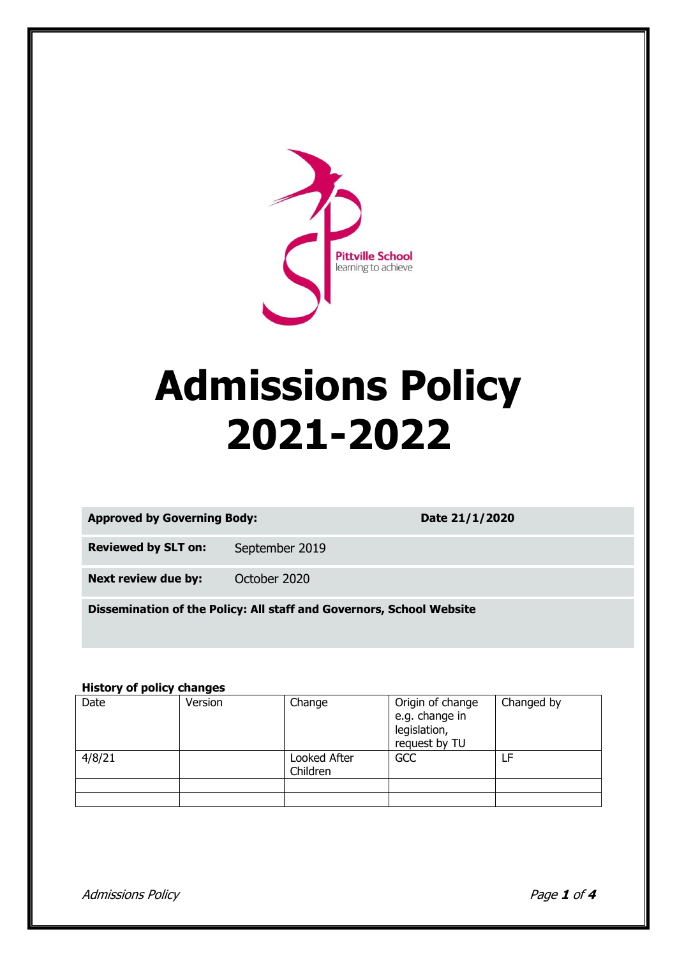

# **Admissions Policy 2021-2022**

| <b>Approved by Governing Body:</b> |  |
|------------------------------------|--|
|                                    |  |

**Approved by Governing Body: Date 21/1/2020**

**Reviewed by SLT on:** September 2019

**Next review due by:** October 2020

**Dissemination of the Policy: All staff and Governors, School Website**

#### **History of policy changes**

| Date   | Version | Change                   | Origin of change<br>e.g. change in<br>legislation,<br>request by TU | Changed by |
|--------|---------|--------------------------|---------------------------------------------------------------------|------------|
| 4/8/21 |         | Looked After<br>Children | GCC                                                                 | LF         |
|        |         |                          |                                                                     |            |
|        |         |                          |                                                                     |            |

Admissions Policy Page **1** of **4**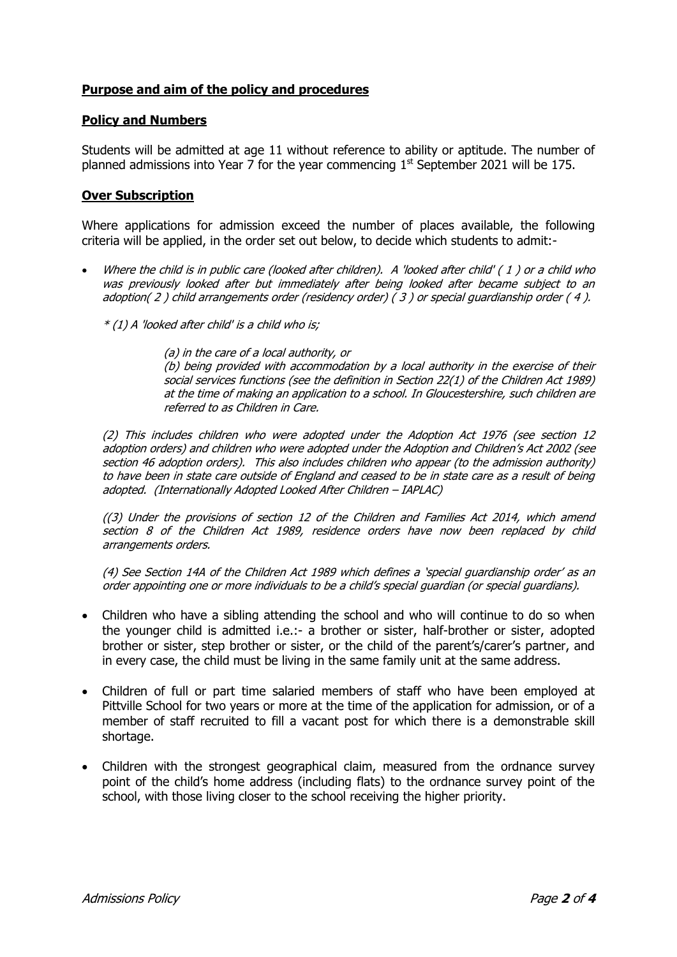# **Purpose and aim of the policy and procedures**

# **Policy and Numbers**

Students will be admitted at age 11 without reference to ability or aptitude. The number of planned admissions into Year  $\overline{7}$  for the year commencing  $1^{st}$  September 2021 will be 175.

# **Over Subscription**

Where applications for admission exceed the number of places available, the following criteria will be applied, in the order set out below, to decide which students to admit:-

- Where the child is in public care (looked after children). A 'looked after child' ( 1 ) or a child who was previously looked after but immediately after being looked after became subject to an adoption( 2 ) child arrangements order (residency order) ( 3 ) or special guardianship order ( 4 ).
	- \* (1) A 'looked after child' is a child who is;

(a) in the care of a local authority, or

(b) being provided with accommodation by a local authority in the exercise of their social services functions (see the definition in Section 22(1) of the Children Act 1989) at the time of making an application to a school. In Gloucestershire, such children are referred to as Children in Care.

(2) This includes children who were adopted under the Adoption Act 1976 (see section 12 adoption orders) and children who were adopted under the Adoption and Children's Act 2002 (see section 46 adoption orders). This also includes children who appear (to the admission authority) to have been in state care outside of England and ceased to be in state care as a result of being adopted. (Internationally Adopted Looked After Children – IAPLAC)

((3) Under the provisions of section 12 of the Children and Families Act 2014, which amend section 8 of the Children Act 1989, residence orders have now been replaced by child arrangements orders.

(4) See Section 14A of the Children Act 1989 which defines a 'special guardianship order' as an order appointing one or more individuals to be a child's special guardian (or special guardians).

- Children who have a sibling attending the school and who will continue to do so when the younger child is admitted i.e.:- a brother or sister, half-brother or sister, adopted brother or sister, step brother or sister, or the child of the parent's/carer's partner, and in every case, the child must be living in the same family unit at the same address.
- Children of full or part time salaried members of staff who have been employed at Pittville School for two years or more at the time of the application for admission, or of a member of staff recruited to fill a vacant post for which there is a demonstrable skill shortage.
- Children with the strongest geographical claim, measured from the ordnance survey point of the child's home address (including flats) to the ordnance survey point of the school, with those living closer to the school receiving the higher priority.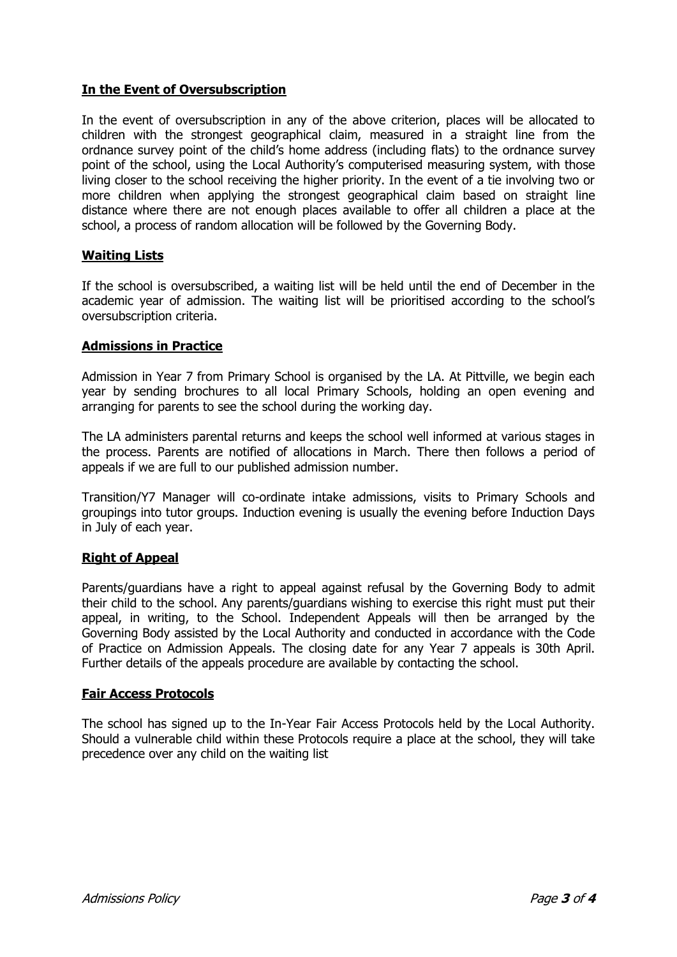# **In the Event of Oversubscription**

In the event of oversubscription in any of the above criterion, places will be allocated to children with the strongest geographical claim, measured in a straight line from the ordnance survey point of the child's home address (including flats) to the ordnance survey point of the school, using the Local Authority's computerised measuring system, with those living closer to the school receiving the higher priority. In the event of a tie involving two or more children when applying the strongest geographical claim based on straight line distance where there are not enough places available to offer all children a place at the school, a process of random allocation will be followed by the Governing Body.

# **Waiting Lists**

If the school is oversubscribed, a waiting list will be held until the end of December in the academic year of admission. The waiting list will be prioritised according to the school's oversubscription criteria.

# **Admissions in Practice**

Admission in Year 7 from Primary School is organised by the LA. At Pittville, we begin each year by sending brochures to all local Primary Schools, holding an open evening and arranging for parents to see the school during the working day.

The LA administers parental returns and keeps the school well informed at various stages in the process. Parents are notified of allocations in March. There then follows a period of appeals if we are full to our published admission number.

Transition/Y7 Manager will co-ordinate intake admissions, visits to Primary Schools and groupings into tutor groups. Induction evening is usually the evening before Induction Days in July of each year.

# **Right of Appeal**

Parents/guardians have a right to appeal against refusal by the Governing Body to admit their child to the school. Any parents/guardians wishing to exercise this right must put their appeal, in writing, to the School. Independent Appeals will then be arranged by the Governing Body assisted by the Local Authority and conducted in accordance with the Code of Practice on Admission Appeals. The closing date for any Year 7 appeals is 30th April. Further details of the appeals procedure are available by contacting the school.

# **Fair Access Protocols**

The school has signed up to the In-Year Fair Access Protocols held by the Local Authority. Should a vulnerable child within these Protocols require a place at the school, they will take precedence over any child on the waiting list